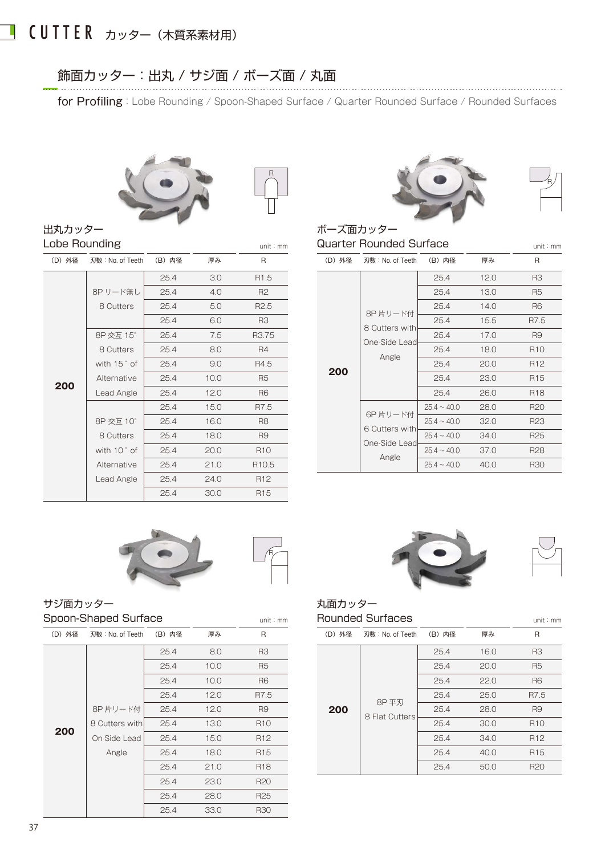#### CUTTER カッター(木質系素材用) L

出丸カッター

## 飾面カッター:出丸 / サジ面 / ボーズ面 / 丸面

for Profiling: Lobe Rounding / Spoon-Shaped Surface / Quarter Rounded Surface / Rounded Surfaces

R





### Quarter Rounded Surface unit:mm unit:mm

| R                 | (D) 外径 |     | (B) 内径                                                                                                                         | 厚み   | R               |
|-------------------|--------|-----|--------------------------------------------------------------------------------------------------------------------------------|------|-----------------|
| R <sub>1.5</sub>  |        |     | 25.4                                                                                                                           | 12.0 | R3              |
| R <sub>2</sub>    |        |     | 25.4                                                                                                                           | 13.0 | R <sub>5</sub>  |
| R <sub>2.5</sub>  |        |     | 25.4                                                                                                                           | 14.0 | R <sub>6</sub>  |
| R3                |        |     | 25.4                                                                                                                           | 15.5 | R7.5            |
| R3.75             |        |     | 25.4                                                                                                                           | 17.0 | R9              |
| R4                |        |     | 25.4                                                                                                                           | 18.0 | R <sub>10</sub> |
| R4.5              |        |     | 25.4                                                                                                                           | 20.0 | R <sub>12</sub> |
| R <sub>5</sub>    |        |     | 25.4                                                                                                                           | 23.0 | R <sub>15</sub> |
| R <sub>6</sub>    |        |     | 25.4                                                                                                                           | 26.0 | R <sub>18</sub> |
| R7.5              |        |     | $25.4 \sim 40.0$                                                                                                               | 28.0 | R <sub>20</sub> |
| R8                |        |     | $25.4 \sim 40.0$                                                                                                               | 32.0 | R <sub>23</sub> |
| R9                |        |     | $25.4 \sim 40.0$                                                                                                               | 34.0 | R <sub>25</sub> |
| R <sub>10</sub>   |        |     | $25.4 \sim 40.0$                                                                                                               | 37.0 | R <sub>28</sub> |
| R <sub>10.5</sub> |        |     | $25.4 \sim 40.0$                                                                                                               | 40.0 | <b>R30</b>      |
|                   |        | 200 | 刃数: No. of Teeth<br>8P片リード付<br>8 Cutters with<br>One-Side Lead<br>Angle<br>6P片リード付<br>6 Cutters with<br>One-Side Lead<br>Angle |      |                 |

| Lobe Rounding |                  |        | Quarter Rounded Surface<br>unit: mm |                   |  |               |                  |                  |
|---------------|------------------|--------|-------------------------------------|-------------------|--|---------------|------------------|------------------|
| (D) 外径        | 刃数: No. of Teeth | (B) 内径 | 厚み                                  | R                 |  | (D) 外径        | 刃数: No. of Teeth | (B) 内径           |
|               |                  | 25.4   | 3.0                                 | R <sub>1.5</sub>  |  |               |                  | 25.4             |
|               | 8P リード無し         | 25.4   | 4.0                                 | R <sub>2</sub>    |  |               |                  | 25.4             |
|               | 8 Cutters        | 25.4   | 5.0                                 | R <sub>2.5</sub>  |  |               |                  | 25.4             |
|               |                  | 25.4   | 6.0                                 | R3                |  |               | 8P片リード付          | 25.4             |
|               | 8P 交互 15°        | 25.4   | 7.5                                 | R3.75             |  |               | 8 Cutters with   | 25.4             |
|               | 8 Cutters        | 25.4   | 8.0                                 | R4                |  | One-Side Lead | 25.4             |                  |
|               | with 15° of      | 25.4   | 9.0                                 | R4.5              |  | 200           | Angle            | 25.4             |
|               | Alternative      | 25.4   | 10.0                                | R5                |  |               |                  | 25.4             |
| 200           | Lead Angle       | 25.4   | 12.0                                | R <sub>6</sub>    |  |               |                  | 25.4             |
|               |                  | 25.4   | 15.0                                | R7.5              |  |               |                  | $25.4 \sim 40.$  |
|               | 8P 交互 10°        | 25.4   | 16.0                                | R8                |  |               | 6P片リード付          | $25.4 \sim 40$ . |
|               | 8 Cutters        | 25.4   | 18.0                                | R9                |  |               | 6 Cutters with   | $25.4 \sim 40$ . |
|               | with 10° of      | 25.4   | 20.0                                | R <sub>10</sub>   |  |               | One-Side Lead    | $25.4 \sim 40.$  |
|               | Alternative      | 25.4   | 21.0                                | R <sub>10.5</sub> |  |               | Angle            | $25.4 \sim 40.$  |
|               | Lead Angle       | 25.4   | 24.0                                | R <sub>12</sub>   |  |               |                  |                  |
|               |                  | 25.4   | 30.0                                | R <sub>15</sub>   |  |               |                  |                  |



## サジ面カッター Spoon-Shaped Surface

| (D) 外径 | 刃数: No. of Teeth | (B) 内径 | 厚み   | $\mathsf{R}$    | (D) 外径 | 刃数: No. of Teeth |
|--------|------------------|--------|------|-----------------|--------|------------------|
|        |                  | 25.4   | 8.0  | R <sub>3</sub>  |        |                  |
|        |                  | 25.4   | 10.0 | R <sub>5</sub>  |        |                  |
|        |                  | 25.4   | 10.0 | R <sub>6</sub>  |        |                  |
|        |                  | 25.4   | 12.0 | R7.5            |        | 8P 平刃            |
|        | 8P片リード付          | 25.4   | 12.0 | R <sub>9</sub>  | 200    | 8 Flat Cutters   |
|        | 8 Cutters with   | 25.4   | 13.0 | R <sub>10</sub> |        |                  |
| 200    | On-Side Lead     | 25.4   | 15.0 | R <sub>12</sub> |        |                  |
|        | Angle            | 25.4   | 18.0 | R <sub>15</sub> |        |                  |
|        |                  | 25.4   | 21.0 | R <sub>18</sub> |        |                  |
|        |                  | 25.4   | 23.0 | R <sub>20</sub> |        |                  |
|        |                  | 25.4   | 28.0 | R <sub>25</sub> |        |                  |
|        |                  | 25.4   | 33.0 | <b>R30</b>      |        |                  |



R

### 丸面カッター Rounded Surfaces unit:mm unit:mm

| (B) 内径 | 厚み   | $\mathsf{R}$    | (D) 外径 | 刃数: No. of Teeth | (B) 内径 | 厚み   | $\mathsf{R}$    |
|--------|------|-----------------|--------|------------------|--------|------|-----------------|
| 25.4   | 8.0  | R <sub>3</sub>  |        |                  | 25.4   | 16.0 | R <sub>3</sub>  |
| 25.4   | 10.0 | R <sub>5</sub>  |        |                  | 25.4   | 20.0 | R <sub>5</sub>  |
| 25.4   | 10.0 | R <sub>6</sub>  |        |                  | 25.4   | 22.0 | R <sub>6</sub>  |
| 25.4   | 12.0 | R7.5            |        | 8P 平刃            | 25.4   | 25.0 | R7.5            |
| 25.4   | 12.0 | R <sub>9</sub>  | 200    | 8 Flat Cutters   | 25.4   | 28.0 | R <sub>9</sub>  |
| 25.4   | 13.0 | R <sub>10</sub> |        |                  | 25.4   | 30.0 | R <sub>10</sub> |
| 25.4   | 15.0 | R <sub>12</sub> |        |                  | 25.4   | 34.0 | R <sub>12</sub> |
| 25.4   | 18.0 | R <sub>15</sub> |        |                  | 25.4   | 40.0 | R <sub>15</sub> |
| 25.4   | 21.0 | R <sub>18</sub> |        |                  | 25.4   | 50.0 | R <sub>20</sub> |